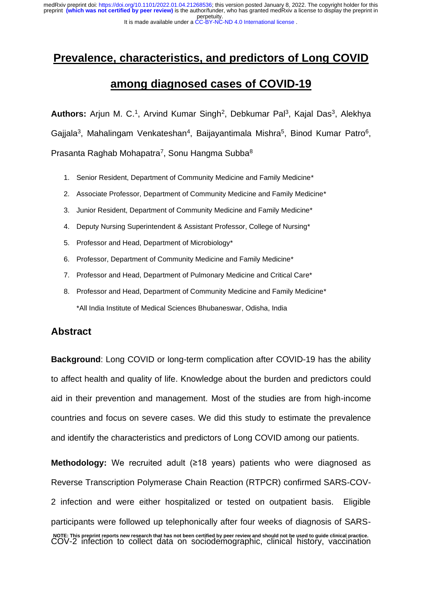## **Prevalence, characteristics, and predictors of Long COVID**

## **among diagnosed cases of COVID-19**

Authors: Arjun M. C.<sup>1</sup>, Arvind Kumar Singh<sup>2</sup>, Debkumar Pal<sup>3</sup>, Kajal Das<sup>3</sup>, Alekhya Gajjala<sup>3</sup>, Mahalingam Venkateshan<sup>4</sup>, Baijayantimala Mishra<sup>5</sup>, Binod Kumar Patro<sup>6</sup>, Prasanta Raghab Mohapatra<sup>7</sup>, Sonu Hangma Subba<sup>8</sup>

- 1. Senior Resident, Department of Community Medicine and Family Medicine\*
- 2. Associate Professor, Department of Community Medicine and Family Medicine\*
- 3. Junior Resident, Department of Community Medicine and Family Medicine\*
- 4. Deputy Nursing Superintendent & Assistant Professor, College of Nursing\*
- 5. Professor and Head, Department of Microbiology\*
- 6. Professor, Department of Community Medicine and Family Medicine\*
- 7. Professor and Head, Department of Pulmonary Medicine and Critical Care\*
- 8. Professor and Head, Department of Community Medicine and Family Medicine\* \*All India Institute of Medical Sciences Bhubaneswar, Odisha, India

### **Abstract**

**Background**: Long COVID or long-term complication after COVID-19 has the ability to affect health and quality of life. Knowledge about the burden and predictors could aid in their prevention and management. Most of the studies are from high-income countries and focus on severe cases. We did this study to estimate the prevalence and identify the characteristics and predictors of Long COVID among our patients.

**Methodology:** We recruited adult (≥18 years) patients who were diagnosed as Reverse Transcription Polymerase Chain Reaction (RTPCR) confirmed SARS-COV-2 infection and were either hospitalized or tested on outpatient basis. Eligible participants were followed up telephonically after four weeks of diagnosis of SARS-COV-2 infection to collect data on sociodemographic, clinical history, vaccination **NOTE: This preprint reports new research that has not been certified by peer review and should not be used to guide clinical practice.**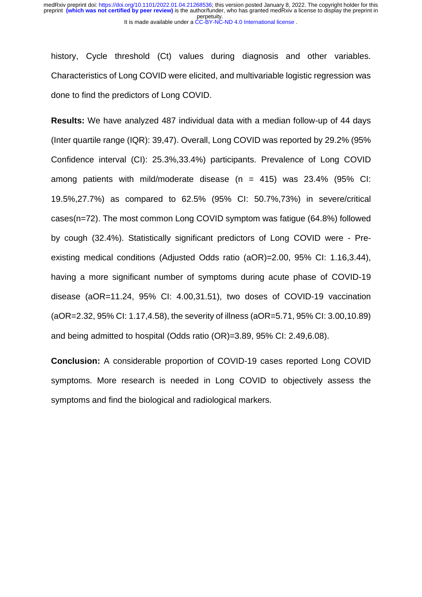history, Cycle threshold (Ct) values during diagnosis and other variables. Characteristics of Long COVID were elicited, and multivariable logistic regression was done to find the predictors of Long COVID.

**Results:** We have analyzed 487 individual data with a median follow-up of 44 days (Inter quartile range (IQR): 39,47). Overall, Long COVID was reported by 29.2% (95% Confidence interval (CI): 25.3%,33.4%) participants. Prevalence of Long COVID among patients with mild/moderate disease  $(n = 415)$  was 23.4% (95% CI: 19.5%,27.7%) as compared to 62.5% (95% CI: 50.7%,73%) in severe/critical cases(n=72). The most common Long COVID symptom was fatigue (64.8%) followed by cough (32.4%). Statistically significant predictors of Long COVID were - Preexisting medical conditions (Adjusted Odds ratio (aOR)=2.00, 95% CI: 1.16,3.44), having a more significant number of symptoms during acute phase of COVID-19 disease (aOR=11.24, 95% CI: 4.00,31.51), two doses of COVID-19 vaccination (aOR=2.32, 95% CI: 1.17,4.58), the severity of illness (aOR=5.71, 95% CI: 3.00,10.89) and being admitted to hospital (Odds ratio (OR)=3.89, 95% CI: 2.49,6.08).

**Conclusion:** A considerable proportion of COVID-19 cases reported Long COVID symptoms. More research is needed in Long COVID to objectively assess the symptoms and find the biological and radiological markers.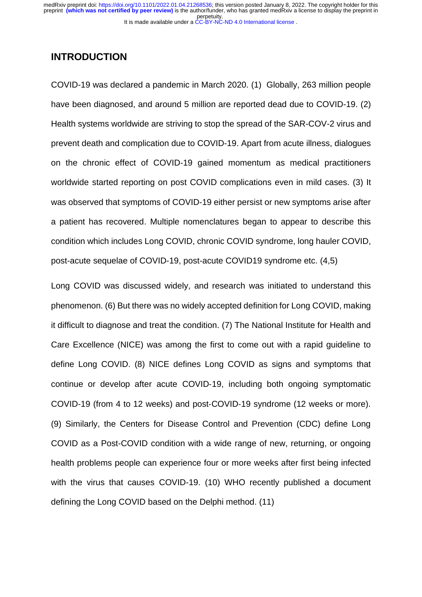#### **INTRODUCTION**

COVID-19 was declared a pandemic in March 2020. (1) Globally, 263 million people have been diagnosed, and around 5 million are reported dead due to COVID-19. (2) Health systems worldwide are striving to stop the spread of the SAR-COV-2 virus and prevent death and complication due to COVID-19. Apart from acute illness, dialogues on the chronic effect of COVID-19 gained momentum as medical practitioners worldwide started reporting on post COVID complications even in mild cases. (3) It was observed that symptoms of COVID-19 either persist or new symptoms arise after a patient has recovered. Multiple nomenclatures began to appear to describe this condition which includes Long COVID, chronic COVID syndrome, long hauler COVID, post-acute sequelae of COVID-19, post-acute COVID19 syndrome etc. (4,5)

Long COVID was discussed widely, and research was initiated to understand this phenomenon. (6) But there was no widely accepted definition for Long COVID, making it difficult to diagnose and treat the condition. (7) The National Institute for Health and Care Excellence (NICE) was among the first to come out with a rapid guideline to define Long COVID. (8) NICE defines Long COVID as signs and symptoms that continue or develop after acute COVID‑19, including both ongoing symptomatic COVID‑19 (from 4 to 12 weeks) and post‑COVID‑19 syndrome (12 weeks or more). (9) Similarly, the Centers for Disease Control and Prevention (CDC) define Long COVID as a Post-COVID condition with a wide range of new, returning, or ongoing health problems people can experience four or more weeks after first being infected with the virus that causes COVID-19. (10) WHO recently published a document defining the Long COVID based on the Delphi method. (11)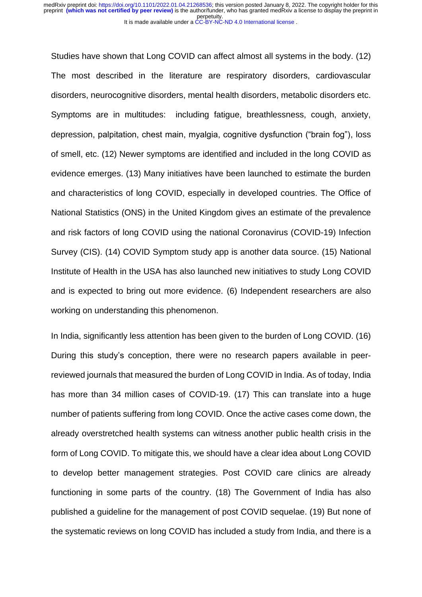Studies have shown that Long COVID can affect almost all systems in the body. (12) The most described in the literature are respiratory disorders, cardiovascular disorders, neurocognitive disorders, mental health disorders, metabolic disorders etc. Symptoms are in multitudes: including fatigue, breathlessness, cough, anxiety, depression, palpitation, chest main, myalgia, cognitive dysfunction ("brain fog"), loss of smell, etc. (12) Newer symptoms are identified and included in the long COVID as evidence emerges. (13) Many initiatives have been launched to estimate the burden and characteristics of long COVID, especially in developed countries. The Office of National Statistics (ONS) in the United Kingdom gives an estimate of the prevalence and risk factors of long COVID using the national Coronavirus (COVID-19) Infection Survey (CIS). (14) COVID Symptom study app is another data source. (15) National Institute of Health in the USA has also launched new initiatives to study Long COVID and is expected to bring out more evidence. (6) Independent researchers are also working on understanding this phenomenon.

In India, significantly less attention has been given to the burden of Long COVID. (16) During this study's conception, there were no research papers available in peerreviewed journals that measured the burden of Long COVID in India. As of today, India has more than 34 million cases of COVID-19. (17) This can translate into a huge number of patients suffering from long COVID. Once the active cases come down, the already overstretched health systems can witness another public health crisis in the form of Long COVID. To mitigate this, we should have a clear idea about Long COVID to develop better management strategies. Post COVID care clinics are already functioning in some parts of the country. (18) The Government of India has also published a guideline for the management of post COVID sequelae. (19) But none of the systematic reviews on long COVID has included a study from India, and there is a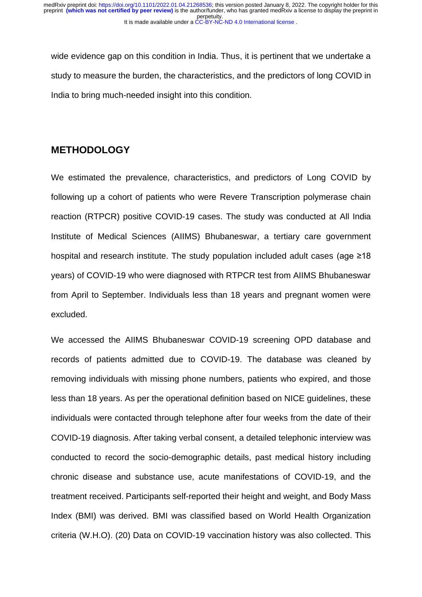wide evidence gap on this condition in India. Thus, it is pertinent that we undertake a study to measure the burden, the characteristics, and the predictors of long COVID in India to bring much-needed insight into this condition.

### **METHODOLOGY**

We estimated the prevalence, characteristics, and predictors of Long COVID by following up a cohort of patients who were Revere Transcription polymerase chain reaction (RTPCR) positive COVID-19 cases. The study was conducted at All India Institute of Medical Sciences (AIIMS) Bhubaneswar, a tertiary care government hospital and research institute. The study population included adult cases (age ≥18 years) of COVID-19 who were diagnosed with RTPCR test from AIIMS Bhubaneswar from April to September. Individuals less than 18 years and pregnant women were excluded.

We accessed the AIIMS Bhubaneswar COVID-19 screening OPD database and records of patients admitted due to COVID-19. The database was cleaned by removing individuals with missing phone numbers, patients who expired, and those less than 18 years. As per the operational definition based on NICE guidelines, these individuals were contacted through telephone after four weeks from the date of their COVID-19 diagnosis. After taking verbal consent, a detailed telephonic interview was conducted to record the socio-demographic details, past medical history including chronic disease and substance use, acute manifestations of COVID-19, and the treatment received. Participants self-reported their height and weight, and Body Mass Index (BMI) was derived. BMI was classified based on World Health Organization criteria (W.H.O). (20) Data on COVID-19 vaccination history was also collected. This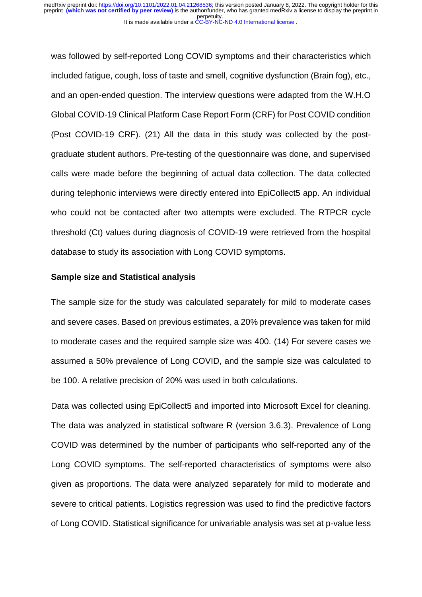was followed by self-reported Long COVID symptoms and their characteristics which included fatigue, cough, loss of taste and smell, cognitive dysfunction (Brain fog), etc., and an open-ended question. The interview questions were adapted from the W.H.O Global COVID-19 Clinical Platform Case Report Form (CRF) for Post COVID condition (Post COVID-19 CRF). (21) All the data in this study was collected by the postgraduate student authors. Pre-testing of the questionnaire was done, and supervised calls were made before the beginning of actual data collection. The data collected during telephonic interviews were directly entered into EpiCollect5 app. An individual who could not be contacted after two attempts were excluded. The RTPCR cycle threshold (Ct) values during diagnosis of COVID-19 were retrieved from the hospital database to study its association with Long COVID symptoms.

#### **Sample size and Statistical analysis**

The sample size for the study was calculated separately for mild to moderate cases and severe cases. Based on previous estimates, a 20% prevalence was taken for mild to moderate cases and the required sample size was 400. (14) For severe cases we assumed a 50% prevalence of Long COVID, and the sample size was calculated to be 100. A relative precision of 20% was used in both calculations.

Data was collected using EpiCollect5 and imported into Microsoft Excel for cleaning. The data was analyzed in statistical software R (version 3.6.3). Prevalence of Long COVID was determined by the number of participants who self-reported any of the Long COVID symptoms. The self-reported characteristics of symptoms were also given as proportions. The data were analyzed separately for mild to moderate and severe to critical patients. Logistics regression was used to find the predictive factors of Long COVID. Statistical significance for univariable analysis was set at p-value less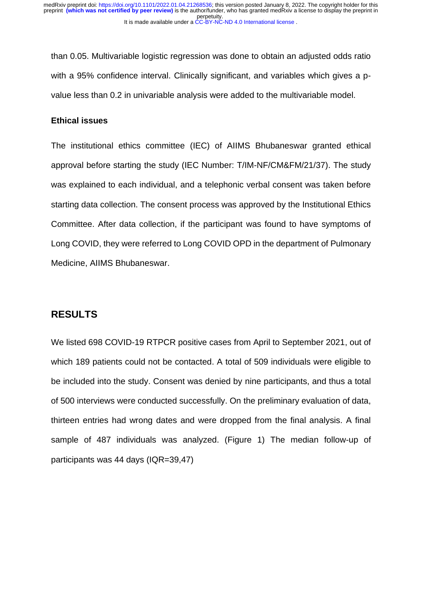than 0.05. Multivariable logistic regression was done to obtain an adjusted odds ratio with a 95% confidence interval. Clinically significant, and variables which gives a pvalue less than 0.2 in univariable analysis were added to the multivariable model.

#### **Ethical issues**

The institutional ethics committee (IEC) of AIIMS Bhubaneswar granted ethical approval before starting the study (IEC Number: T/IM-NF/CM&FM/21/37). The study was explained to each individual, and a telephonic verbal consent was taken before starting data collection. The consent process was approved by the Institutional Ethics Committee. After data collection, if the participant was found to have symptoms of Long COVID, they were referred to Long COVID OPD in the department of Pulmonary Medicine, AIIMS Bhubaneswar.

### **RESULTS**

We listed 698 COVID-19 RTPCR positive cases from April to September 2021, out of which 189 patients could not be contacted. A total of 509 individuals were eligible to be included into the study. Consent was denied by nine participants, and thus a total of 500 interviews were conducted successfully. On the preliminary evaluation of data, thirteen entries had wrong dates and were dropped from the final analysis. A final sample of 487 individuals was analyzed. (Figure 1) The median follow-up of participants was 44 days (IQR=39,47)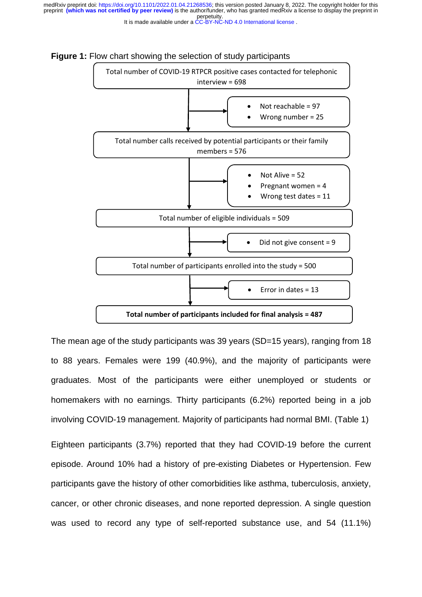perpetuity. preprint **(which was not certified by peer review)** is the author/funder, who has granted medRxiv a license to display the preprint in medRxiv preprint doi: [https://doi.org/10.1101/2022.01.04.21268536;](https://doi.org/10.1101/2022.01.04.21268536) this version posted January 8, 2022. The copyright holder for this





The mean age of the study participants was 39 years (SD=15 years), ranging from 18 to 88 years. Females were 199 (40.9%), and the majority of participants were graduates. Most of the participants were either unemployed or students or homemakers with no earnings. Thirty participants (6.2%) reported being in a job involving COVID-19 management. Majority of participants had normal BMI. (Table 1)

Eighteen participants (3.7%) reported that they had COVID-19 before the current episode. Around 10% had a history of pre-existing Diabetes or Hypertension. Few participants gave the history of other comorbidities like asthma, tuberculosis, anxiety, cancer, or other chronic diseases, and none reported depression. A single question was used to record any type of self-reported substance use, and 54 (11.1%)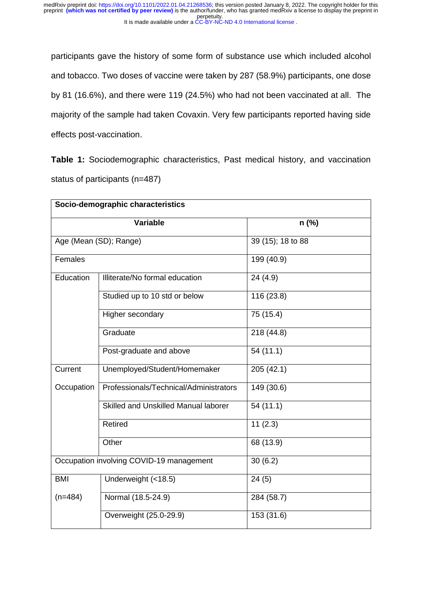participants gave the history of some form of substance use which included alcohol and tobacco. Two doses of vaccine were taken by 287 (58.9%) participants, one dose by 81 (16.6%), and there were 119 (24.5%) who had not been vaccinated at all. The majority of the sample had taken Covaxin. Very few participants reported having side effects post-vaccination.

**Table 1:** Sociodemographic characteristics, Past medical history, and vaccination status of participants (n=487)

| Socio-demographic characteristics |                                          |                   |  |  |  |
|-----------------------------------|------------------------------------------|-------------------|--|--|--|
|                                   | <b>Variable</b>                          | $n$ (%)           |  |  |  |
|                                   | Age (Mean (SD); Range)                   | 39 (15); 18 to 88 |  |  |  |
| Females                           |                                          | 199 (40.9)        |  |  |  |
| Education                         | Illiterate/No formal education           | 24 (4.9)          |  |  |  |
|                                   | Studied up to 10 std or below            | 116 (23.8)        |  |  |  |
|                                   | Higher secondary                         | 75 (15.4)         |  |  |  |
|                                   | Graduate                                 | 218 (44.8)        |  |  |  |
|                                   | Post-graduate and above                  | 54(11.1)          |  |  |  |
| Current                           | Unemployed/Student/Homemaker             | 205 (42.1)        |  |  |  |
| Occupation                        | Professionals/Technical/Administrators   | 149 (30.6)        |  |  |  |
|                                   | Skilled and Unskilled Manual laborer     | 54(11.1)          |  |  |  |
|                                   | <b>Retired</b>                           | 11(2.3)           |  |  |  |
|                                   | Other                                    | 68 (13.9)         |  |  |  |
|                                   | Occupation involving COVID-19 management | 30(6.2)           |  |  |  |
| <b>BMI</b>                        | Underweight (<18.5)                      | 24(5)             |  |  |  |
| $(n=484)$                         | Normal (18.5-24.9)                       | 284 (58.7)        |  |  |  |
|                                   | Overweight (25.0-29.9)                   | 153 (31.6)        |  |  |  |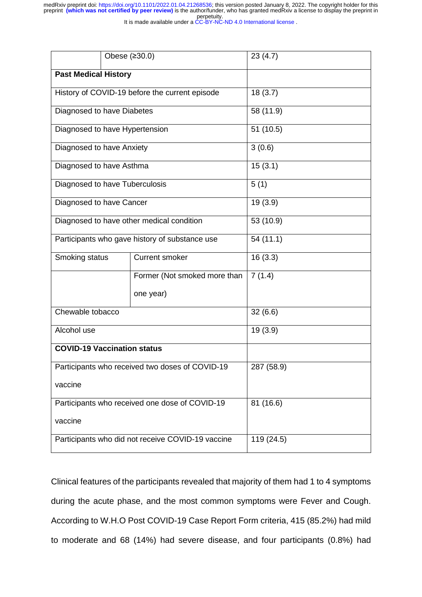perpetuity. medRxiv preprint doi: [https://doi.org/10.1101/2022.01.04.21268536;](https://doi.org/10.1101/2022.01.04.21268536) this version posted January 8, 2022. The copyright holder for this<br>preprint **(which was not certified by peer review)** is the author/funder, who has grant

It is made available under a [CC-BY-NC-ND 4.0 International license](http://creativecommons.org/licenses/by-nc-nd/4.0/) .

|                                                 | Obese (≥30.0)                                     | 23(4.7)    |
|-------------------------------------------------|---------------------------------------------------|------------|
| <b>Past Medical History</b>                     |                                                   |            |
| History of COVID-19 before the current episode  |                                                   | 18(3.7)    |
| Diagnosed to have Diabetes                      |                                                   | 58 (11.9)  |
| Diagnosed to have Hypertension                  |                                                   | 51 (10.5)  |
| Diagnosed to have Anxiety                       |                                                   | 3(0.6)     |
| Diagnosed to have Asthma                        |                                                   | 15(3.1)    |
| Diagnosed to have Tuberculosis                  |                                                   | 5(1)       |
| Diagnosed to have Cancer                        |                                                   | 19(3.9)    |
|                                                 | Diagnosed to have other medical condition         | 53 (10.9)  |
|                                                 | Participants who gave history of substance use    | 54 (11.1)  |
| Smoking status                                  | <b>Current smoker</b>                             | 16(3.3)    |
|                                                 | Former (Not smoked more than                      | 7(1.4)     |
|                                                 | one year)                                         |            |
| Chewable tobacco                                |                                                   | 32(6.6)    |
| Alcohol use                                     |                                                   | 19(3.9)    |
| <b>COVID-19 Vaccination status</b>              |                                                   |            |
| Participants who received two doses of COVID-19 |                                                   | 287 (58.9) |
| vaccine                                         |                                                   |            |
| Participants who received one dose of COVID-19  |                                                   | 81 (16.6)  |
| vaccine                                         |                                                   |            |
|                                                 | Participants who did not receive COVID-19 vaccine | 119 (24.5) |

Clinical features of the participants revealed that majority of them had 1 to 4 symptoms during the acute phase, and the most common symptoms were Fever and Cough. According to W.H.O Post COVID-19 Case Report Form criteria, 415 (85.2%) had mild to moderate and 68 (14%) had severe disease, and four participants (0.8%) had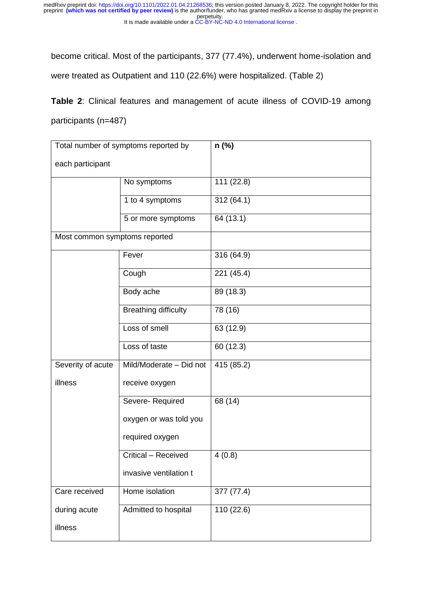become critical. Most of the participants, 377 (77.4%), underwent home-isolation and were treated as Outpatient and 110 (22.6%) were hospitalized. (Table 2)

**Table 2**: Clinical features and management of acute illness of COVID-19 among participants (n=487)

| Total number of symptoms reported by |                             | n (%)      |
|--------------------------------------|-----------------------------|------------|
| each participant                     |                             |            |
|                                      | No symptoms                 | 111 (22.8) |
|                                      | 1 to 4 symptoms             | 312(64.1)  |
|                                      | 5 or more symptoms          | 64 (13.1)  |
| Most common symptoms reported        |                             |            |
|                                      | Fever                       | 316 (64.9) |
|                                      | Cough                       | 221 (45.4) |
|                                      | Body ache                   | 89 (18.3)  |
|                                      | <b>Breathing difficulty</b> | 78 (16)    |
|                                      | Loss of smell               | 63 (12.9)  |
|                                      | Loss of taste               | 60 (12.3)  |
| Severity of acute                    | Mild/Moderate - Did not     | 415 (85.2) |
| illness                              | receive oxygen              |            |
|                                      | Severe-Required             | 68 (14)    |
|                                      | oxygen or was told you      |            |
|                                      | required oxygen             |            |
|                                      | Critical - Received         | 4(0.8)     |
|                                      | invasive ventilation t      |            |
| Care received                        | Home isolation              | 377 (77.4) |
| during acute                         | Admitted to hospital        | 110 (22.6) |
| illness                              |                             |            |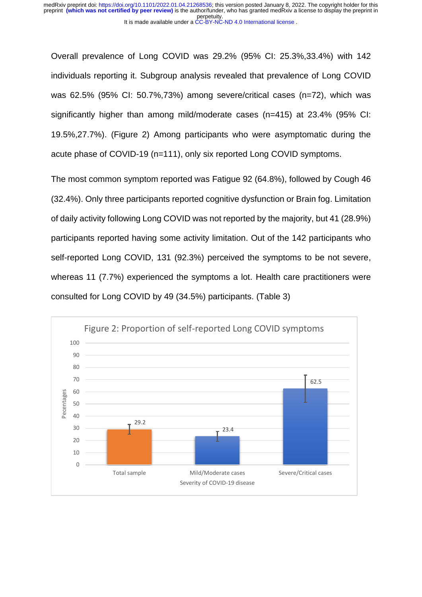Overall prevalence of Long COVID was 29.2% (95% CI: 25.3%,33.4%) with 142 individuals reporting it. Subgroup analysis revealed that prevalence of Long COVID was 62.5% (95% CI: 50.7%,73%) among severe/critical cases (n=72), which was significantly higher than among mild/moderate cases (n=415) at 23.4% (95% CI: 19.5%,27.7%). (Figure 2) Among participants who were asymptomatic during the acute phase of COVID-19 (n=111), only six reported Long COVID symptoms.

The most common symptom reported was Fatigue 92 (64.8%), followed by Cough 46 (32.4%). Only three participants reported cognitive dysfunction or Brain fog. Limitation of daily activity following Long COVID was not reported by the majority, but 41 (28.9%) participants reported having some activity limitation. Out of the 142 participants who self-reported Long COVID, 131 (92.3%) perceived the symptoms to be not severe, whereas 11 (7.7%) experienced the symptoms a lot. Health care practitioners were consulted for Long COVID by 49 (34.5%) participants. (Table 3)

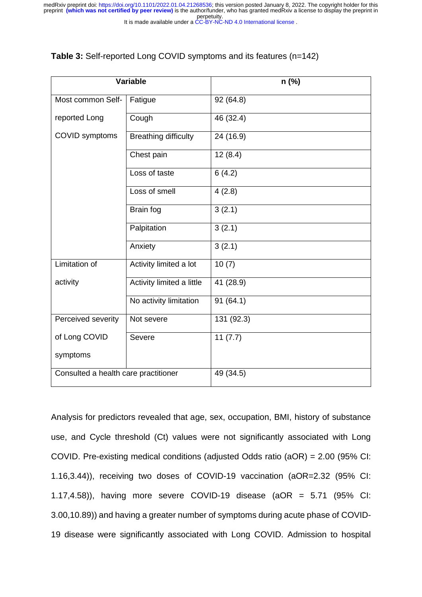#### **Table 3:** Self-reported Long COVID symptoms and its features (n=142)

| <b>Variable</b>                      |                             | n (%)      |
|--------------------------------------|-----------------------------|------------|
| Most common Self-                    | Fatigue                     | 92 (64.8)  |
| reported Long                        | Cough                       | 46 (32.4)  |
| COVID symptoms                       | <b>Breathing difficulty</b> | 24 (16.9)  |
|                                      | Chest pain                  | 12(8.4)    |
|                                      | Loss of taste               | 6(4.2)     |
|                                      | Loss of smell               | 4(2.8)     |
|                                      | Brain fog                   | 3(2.1)     |
|                                      | Palpitation                 | 3(2.1)     |
|                                      | Anxiety                     | 3(2.1)     |
| Limitation of                        | Activity limited a lot      | 10(7)      |
| activity                             | Activity limited a little   | 41 (28.9)  |
|                                      | No activity limitation      | 91(64.1)   |
| Perceived severity                   | Not severe                  | 131 (92.3) |
| of Long COVID                        | Severe                      | 11(7.7)    |
| symptoms                             |                             |            |
| Consulted a health care practitioner |                             | 49 (34.5)  |

Analysis for predictors revealed that age, sex, occupation, BMI, history of substance use, and Cycle threshold (Ct) values were not significantly associated with Long COVID. Pre-existing medical conditions (adjusted Odds ratio (aOR) = 2.00 (95% CI: 1.16,3.44)), receiving two doses of COVID-19 vaccination (aOR=2.32 (95% CI: 1.17,4.58)), having more severe COVID-19 disease (aOR = 5.71 (95% CI: 3.00,10.89)) and having a greater number of symptoms during acute phase of COVID-19 disease were significantly associated with Long COVID. Admission to hospital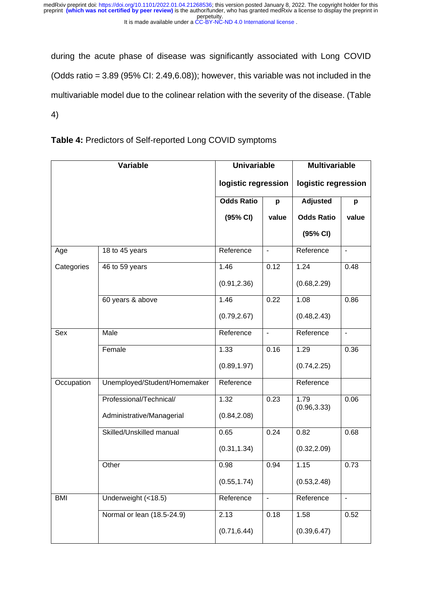during the acute phase of disease was significantly associated with Long COVID (Odds ratio =  $3.89$  (95% CI:  $2.49,6.08$ )); however, this variable was not included in the multivariable model due to the colinear relation with the severity of the disease. (Table 4)

|  |  | Table 4: Predictors of Self-reported Long COVID symptoms |  |
|--|--|----------------------------------------------------------|--|
|--|--|----------------------------------------------------------|--|

| Variable   |                              | <b>Univariable</b>  |                          | <b>Multivariable</b> |                          |
|------------|------------------------------|---------------------|--------------------------|----------------------|--------------------------|
|            |                              | logistic regression |                          | logistic regression  |                          |
|            |                              | <b>Odds Ratio</b>   | p                        | <b>Adjusted</b>      | p                        |
|            |                              | (95% CI)            | value                    | <b>Odds Ratio</b>    | value                    |
|            |                              |                     |                          | (95% CI)             |                          |
| Age        | 18 to 45 years               | Reference           | $\blacksquare$           | Reference            | $\overline{a}$           |
| Categories | 46 to 59 years               | 1.46                | 0.12                     | 1.24                 | 0.48                     |
|            |                              | (0.91, 2.36)        |                          | (0.68, 2.29)         |                          |
|            | 60 years & above             | 1.46                | 0.22                     | 1.08                 | 0.86                     |
|            |                              | (0.79, 2.67)        |                          | (0.48, 2.43)         |                          |
| Sex        | Male                         | Reference           | $\blacksquare$           | Reference            | $\blacksquare$           |
|            | Female                       | 1.33                | 0.16                     | 1.29                 | 0.36                     |
|            |                              | (0.89, 1.97)        |                          | (0.74, 2.25)         |                          |
| Occupation | Unemployed/Student/Homemaker | Reference           |                          | Reference            |                          |
|            | Professional/Technical/      | 1.32                | 0.23                     | 1.79                 | 0.06                     |
|            | Administrative/Managerial    | (0.84, 2.08)        |                          | (0.96, 3.33)         |                          |
|            | Skilled/Unskilled manual     | 0.65                | 0.24                     | 0.82                 | 0.68                     |
|            |                              | (0.31, 1.34)        |                          | (0.32, 2.09)         |                          |
|            | Other                        | 0.98                | 0.94                     | 1.15                 | 0.73                     |
|            |                              | (0.55, 1.74)        |                          | (0.53, 2.48)         |                          |
| <b>BMI</b> | Underweight (<18.5)          | Reference           | $\overline{\phantom{a}}$ | Reference            | $\overline{\phantom{0}}$ |
|            | Normal or lean (18.5-24.9)   | 2.13                | 0.18                     | 1.58                 | 0.52                     |
|            |                              | (0.71, 6.44)        |                          | (0.39, 6.47)         |                          |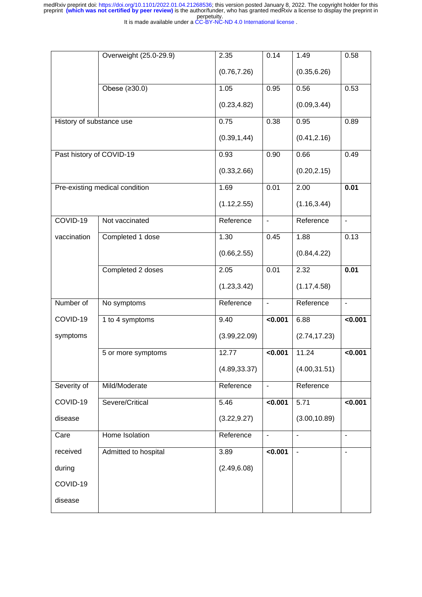|                          | Overweight (25.0-29.9)         | 2.35          | 0.14           | 1.49           | 0.58                     |
|--------------------------|--------------------------------|---------------|----------------|----------------|--------------------------|
|                          |                                | (0.76, 7.26)  |                | (0.35, 6.26)   |                          |
|                          | Obese (≥30.0)                  | 1.05          | 0.95           | 0.56           | 0.53                     |
|                          |                                | (0.23, 4.82)  |                | (0.09, 3.44)   |                          |
| History of substance use |                                | 0.75          | 0.38           | 0.95           | 0.89                     |
|                          |                                | (0.39, 1, 44) |                | (0.41, 2.16)   |                          |
| Past history of COVID-19 |                                | 0.93          | 0.90           | 0.66           | 0.49                     |
|                          |                                | (0.33, 2.66)  |                | (0.20, 2.15)   |                          |
|                          | Pre-existing medical condition | 1.69          | 0.01           | 2.00           | 0.01                     |
|                          |                                | (1.12, 2.55)  |                | (1.16, 3.44)   |                          |
| COVID-19                 | Not vaccinated                 | Reference     | $\blacksquare$ | Reference      | $\blacksquare$           |
| vaccination              | Completed 1 dose               | 1.30          | 0.45           | 1.88           | 0.13                     |
|                          |                                | (0.66, 2.55)  |                | (0.84, 4.22)   |                          |
|                          | Completed 2 doses              | 2.05          | 0.01           | 2.32           | 0.01                     |
|                          |                                | (1.23, 3.42)  |                | (1.17, 4.58)   |                          |
| Number of                | No symptoms                    | Reference     | $\blacksquare$ | Reference      | $\blacksquare$           |
| COVID-19                 | 1 to 4 symptoms                | 9.40          | < 0.001        | 6.88           | <0.001                   |
| symptoms                 |                                | (3.99, 22.09) |                | (2.74, 17.23)  |                          |
|                          | 5 or more symptoms             | 12.77         | <0.001         | 11.24          | <0.001                   |
|                          |                                | (4.89, 33.37) |                | (4.00, 31.51)  |                          |
| Severity of              | Mild/Moderate                  | Reference     | $\blacksquare$ | Reference      |                          |
| COVID-19                 | Severe/Critical                | 5.46          | < 0.001        | 5.71           | <0.001                   |
| disease                  |                                | (3.22, 9.27)  |                | (3.00, 10.89)  |                          |
| Care                     | Home Isolation                 | Reference     | $\blacksquare$ | $\blacksquare$ | $\blacksquare$           |
| received                 | Admitted to hospital           | 3.89          | 0.001          | $\blacksquare$ | $\overline{\phantom{a}}$ |
| during                   |                                | (2.49, 6.08)  |                |                |                          |
| COVID-19                 |                                |               |                |                |                          |
| disease                  |                                |               |                |                |                          |
|                          |                                |               |                |                |                          |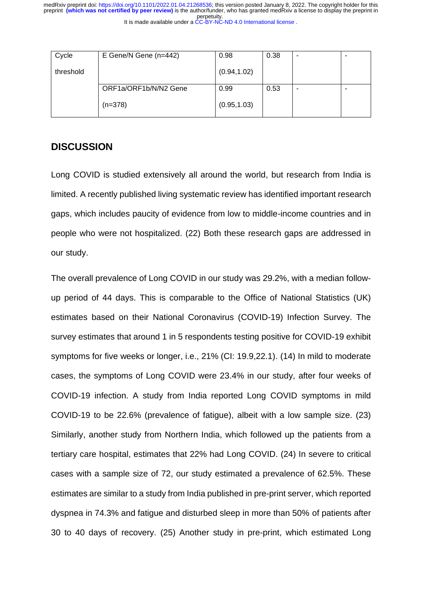| Cycle     | E Gene/N Gene (n=442) | 0.98         | 0.38 |  |
|-----------|-----------------------|--------------|------|--|
| threshold |                       | (0.94, 1.02) |      |  |
|           | ORF1a/ORF1b/N/N2 Gene | 0.99         | 0.53 |  |
|           | $(n=378)$             | (0.95, 1.03) |      |  |

### **DISCUSSION**

Long COVID is studied extensively all around the world, but research from India is limited. A recently published living systematic review has identified important research gaps, which includes paucity of evidence from low to middle-income countries and in people who were not hospitalized. (22) Both these research gaps are addressed in our study.

The overall prevalence of Long COVID in our study was 29.2%, with a median followup period of 44 days. This is comparable to the Office of National Statistics (UK) estimates based on their National Coronavirus (COVID-19) Infection Survey. The survey estimates that around 1 in 5 respondents testing positive for COVID-19 exhibit symptoms for five weeks or longer, i.e., 21% (CI: 19.9,22.1). (14) In mild to moderate cases, the symptoms of Long COVID were 23.4% in our study, after four weeks of COVID-19 infection. A study from India reported Long COVID symptoms in mild COVID-19 to be 22.6% (prevalence of fatigue), albeit with a low sample size. (23) Similarly, another study from Northern India, which followed up the patients from a tertiary care hospital, estimates that 22% had Long COVID. (24) In severe to critical cases with a sample size of 72, our study estimated a prevalence of 62.5%. These estimates are similar to a study from India published in pre-print server, which reported dyspnea in 74.3% and fatigue and disturbed sleep in more than 50% of patients after 30 to 40 days of recovery. (25) Another study in pre-print, which estimated Long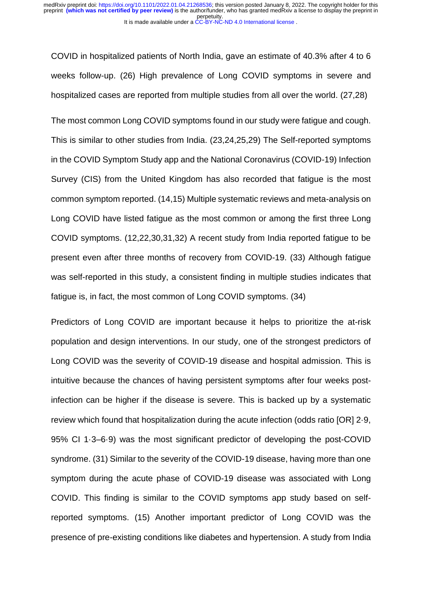COVID in hospitalized patients of North India, gave an estimate of 40.3% after 4 to 6 weeks follow-up. (26) High prevalence of Long COVID symptoms in severe and hospitalized cases are reported from multiple studies from all over the world. (27,28)

The most common Long COVID symptoms found in our study were fatigue and cough. This is similar to other studies from India. (23,24,25,29) The Self-reported symptoms in the COVID Symptom Study app and the National Coronavirus (COVID-19) Infection Survey (CIS) from the United Kingdom has also recorded that fatigue is the most common symptom reported. (14,15) Multiple systematic reviews and meta-analysis on Long COVID have listed fatigue as the most common or among the first three Long COVID symptoms. (12,22,30,31,32) A recent study from India reported fatigue to be present even after three months of recovery from COVID-19. (33) Although fatigue was self-reported in this study, a consistent finding in multiple studies indicates that fatigue is, in fact, the most common of Long COVID symptoms. (34)

Predictors of Long COVID are important because it helps to prioritize the at-risk population and design interventions. In our study, one of the strongest predictors of Long COVID was the severity of COVID-19 disease and hospital admission. This is intuitive because the chances of having persistent symptoms after four weeks postinfection can be higher if the disease is severe. This is backed up by a systematic review which found that hospitalization during the acute infection (odds ratio [OR] 2·9, 95% CI 1·3–6·9) was the most significant predictor of developing the post-COVID syndrome. (31) Similar to the severity of the COVID-19 disease, having more than one symptom during the acute phase of COVID-19 disease was associated with Long COVID. This finding is similar to the COVID symptoms app study based on selfreported symptoms. (15) Another important predictor of Long COVID was the presence of pre-existing conditions like diabetes and hypertension. A study from India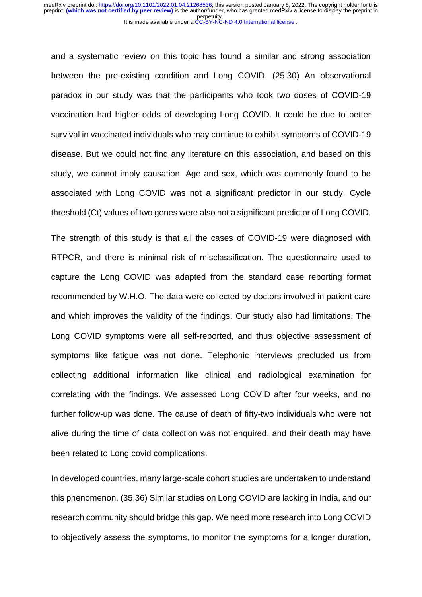and a systematic review on this topic has found a similar and strong association between the pre-existing condition and Long COVID. (25,30) An observational paradox in our study was that the participants who took two doses of COVID-19 vaccination had higher odds of developing Long COVID. It could be due to better survival in vaccinated individuals who may continue to exhibit symptoms of COVID-19 disease. But we could not find any literature on this association, and based on this study, we cannot imply causation. Age and sex, which was commonly found to be associated with Long COVID was not a significant predictor in our study. Cycle threshold (Ct) values of two genes were also not a significant predictor of Long COVID.

The strength of this study is that all the cases of COVID-19 were diagnosed with RTPCR, and there is minimal risk of misclassification. The questionnaire used to capture the Long COVID was adapted from the standard case reporting format recommended by W.H.O. The data were collected by doctors involved in patient care and which improves the validity of the findings. Our study also had limitations. The Long COVID symptoms were all self-reported, and thus objective assessment of symptoms like fatigue was not done. Telephonic interviews precluded us from collecting additional information like clinical and radiological examination for correlating with the findings. We assessed Long COVID after four weeks, and no further follow-up was done. The cause of death of fifty-two individuals who were not alive during the time of data collection was not enquired, and their death may have been related to Long covid complications.

In developed countries, many large-scale cohort studies are undertaken to understand this phenomenon. (35,36) Similar studies on Long COVID are lacking in India, and our research community should bridge this gap. We need more research into Long COVID to objectively assess the symptoms, to monitor the symptoms for a longer duration,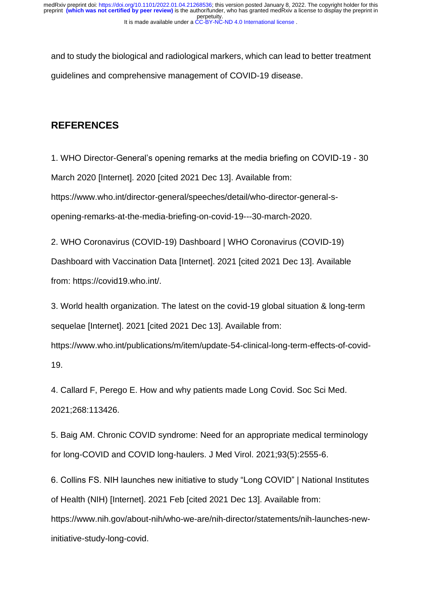and to study the biological and radiological markers, which can lead to better treatment guidelines and comprehensive management of COVID-19 disease.

# **REFERENCES**

1. WHO Director-General's opening remarks at the media briefing on COVID-19 - 30 March 2020 [Internet]. 2020 [cited 2021 Dec 13]. Available from: https://www.who.int/director-general/speeches/detail/who-director-general-sopening-remarks-at-the-media-briefing-on-covid-19---30-march-2020.

2. WHO Coronavirus (COVID-19) Dashboard | WHO Coronavirus (COVID-19) Dashboard with Vaccination Data [Internet]. 2021 [cited 2021 Dec 13]. Available from: https://covid19.who.int/.

3. World health organization. The latest on the covid-19 global situation & long-term sequelae [Internet]. 2021 [cited 2021 Dec 13]. Available from:

https://www.who.int/publications/m/item/update-54-clinical-long-term-effects-of-covid-19.

4. Callard F, Perego E. How and why patients made Long Covid. Soc Sci Med. 2021;268:113426.

5. Baig AM. Chronic COVID syndrome: Need for an appropriate medical terminology for long-COVID and COVID long-haulers. J Med Virol. 2021;93(5):2555-6.

6. Collins FS. NIH launches new initiative to study "Long COVID" | National Institutes of Health (NIH) [Internet]. 2021 Feb [cited 2021 Dec 13]. Available from:

https://www.nih.gov/about-nih/who-we-are/nih-director/statements/nih-launches-newinitiative-study-long-covid.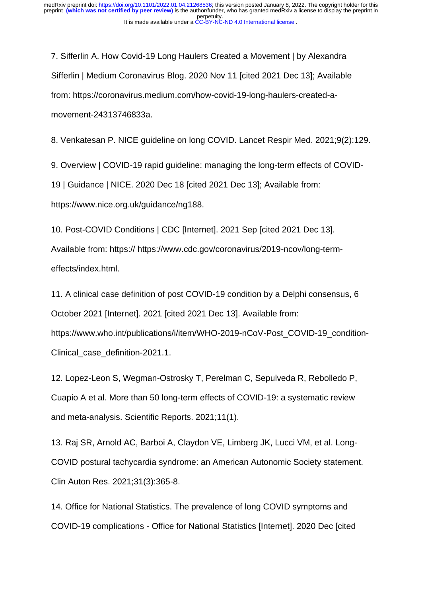7. Sifferlin A. How Covid-19 Long Haulers Created a Movement | by Alexandra Sifferlin | Medium Coronavirus Blog. 2020 Nov 11 [cited 2021 Dec 13]; Available from: https://coronavirus.medium.com/how-covid-19-long-haulers-created-amovement-24313746833a.

8. Venkatesan P. NICE guideline on long COVID. Lancet Respir Med. 2021;9(2):129.

9. Overview | COVID-19 rapid guideline: managing the long-term effects of COVID-19 | Guidance | NICE. 2020 Dec 18 [cited 2021 Dec 13]; Available from:

https://www.nice.org.uk/guidance/ng188.

10. Post-COVID Conditions | CDC [Internet]. 2021 Sep [cited 2021 Dec 13]. Available from: https:// https://www.cdc.gov/coronavirus/2019-ncov/long-termeffects/index.html.

11. A clinical case definition of post COVID-19 condition by a Delphi consensus, 6 October 2021 [Internet]. 2021 [cited 2021 Dec 13]. Available from: https://www.who.int/publications/i/item/WHO-2019-nCoV-Post\_COVID-19\_condition-Clinical\_case\_definition-2021.1.

12. Lopez-Leon S, Wegman-Ostrosky T, Perelman C, Sepulveda R, Rebolledo P, Cuapio A et al. More than 50 long-term effects of COVID-19: a systematic review and meta-analysis. Scientific Reports. 2021;11(1).

13. Raj SR, Arnold AC, Barboi A, Claydon VE, Limberg JK, Lucci VM, et al. Long-COVID postural tachycardia syndrome: an American Autonomic Society statement. Clin Auton Res. 2021;31(3):365-8.

14. Office for National Statistics. The prevalence of long COVID symptoms and COVID-19 complications - Office for National Statistics [Internet]. 2020 Dec [cited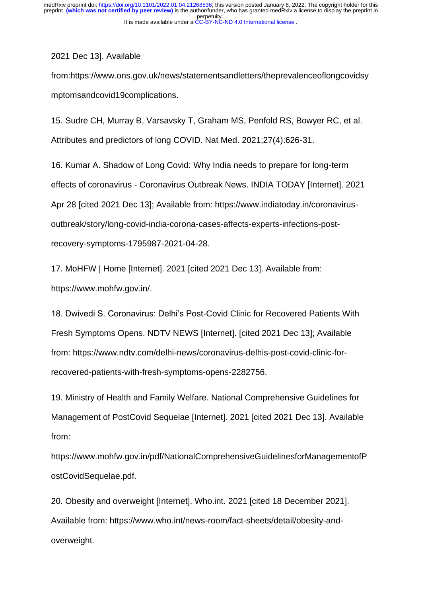2021 Dec 13]. Available

from:https://www.ons.gov.uk/news/statementsandletters/theprevalenceoflongcovidsy mptomsandcovid19complications.

15. Sudre CH, Murray B, Varsavsky T, Graham MS, Penfold RS, Bowyer RC, et al. Attributes and predictors of long COVID. Nat Med. 2021;27(4):626-31.

16. Kumar A. Shadow of Long Covid: Why India needs to prepare for long-term effects of coronavirus - Coronavirus Outbreak News. INDIA TODAY [Internet]. 2021 Apr 28 [cited 2021 Dec 13]; Available from: https://www.indiatoday.in/coronavirusoutbreak/story/long-covid-india-corona-cases-affects-experts-infections-postrecovery-symptoms-1795987-2021-04-28.

17. MoHFW | Home [Internet]. 2021 [cited 2021 Dec 13]. Available from: https://www.mohfw.gov.in/.

18. Dwivedi S. Coronavirus: Delhi's Post-Covid Clinic for Recovered Patients With Fresh Symptoms Opens. NDTV NEWS [Internet]. [cited 2021 Dec 13]; Available from: https://www.ndtv.com/delhi-news/coronavirus-delhis-post-covid-clinic-forrecovered-patients-with-fresh-symptoms-opens-2282756.

19. Ministry of Health and Family Welfare. National Comprehensive Guidelines for Management of PostCovid Sequelae [Internet]. 2021 [cited 2021 Dec 13]. Available from:

https://www.mohfw.gov.in/pdf/NationalComprehensiveGuidelinesforManagementofP ostCovidSequelae.pdf.

20. Obesity and overweight [Internet]. Who.int. 2021 [cited 18 December 2021]. Available from: https://www.who.int/news-room/fact-sheets/detail/obesity-andoverweight.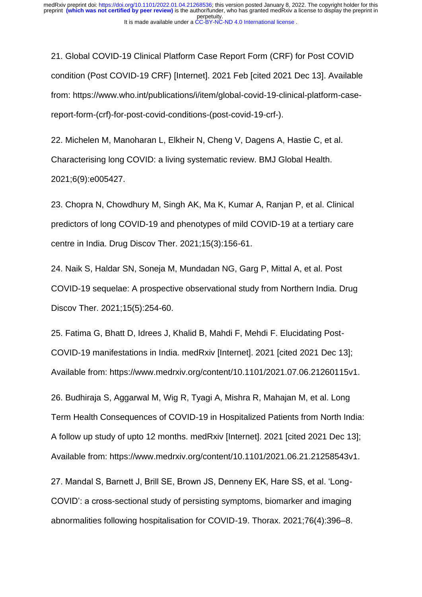21. Global COVID-19 Clinical Platform Case Report Form (CRF) for Post COVID condition (Post COVID-19 CRF) [Internet]. 2021 Feb [cited 2021 Dec 13]. Available from: https://www.who.int/publications/i/item/global-covid-19-clinical-platform-casereport-form-(crf)-for-post-covid-conditions-(post-covid-19-crf-).

22. Michelen M, Manoharan L, Elkheir N, Cheng V, Dagens A, Hastie C, et al. Characterising long COVID: a living systematic review. BMJ Global Health. 2021;6(9):e005427.

23. Chopra N, Chowdhury M, Singh AK, Ma K, Kumar A, Ranjan P, et al. Clinical predictors of long COVID-19 and phenotypes of mild COVID-19 at a tertiary care centre in India. Drug Discov Ther. 2021;15(3):156-61.

24. Naik S, Haldar SN, Soneja M, Mundadan NG, Garg P, Mittal A, et al. Post COVID-19 sequelae: A prospective observational study from Northern India. Drug Discov Ther. 2021;15(5):254-60.

25. Fatima G, Bhatt D, Idrees J, Khalid B, Mahdi F, Mehdi F. Elucidating Post-COVID-19 manifestations in India. medRxiv [Internet]. 2021 [cited 2021 Dec 13]; Available from: https://www.medrxiv.org/content/10.1101/2021.07.06.21260115v1.

26. Budhiraja S, Aggarwal M, Wig R, Tyagi A, Mishra R, Mahajan M, et al. Long Term Health Consequences of COVID-19 in Hospitalized Patients from North India: A follow up study of upto 12 months. medRxiv [Internet]. 2021 [cited 2021 Dec 13]; Available from: https://www.medrxiv.org/content/10.1101/2021.06.21.21258543v1.

27. Mandal S, Barnett J, Brill SE, Brown JS, Denneny EK, Hare SS, et al. 'Long-COVID': a cross-sectional study of persisting symptoms, biomarker and imaging abnormalities following hospitalisation for COVID-19. Thorax. 2021;76(4):396–8.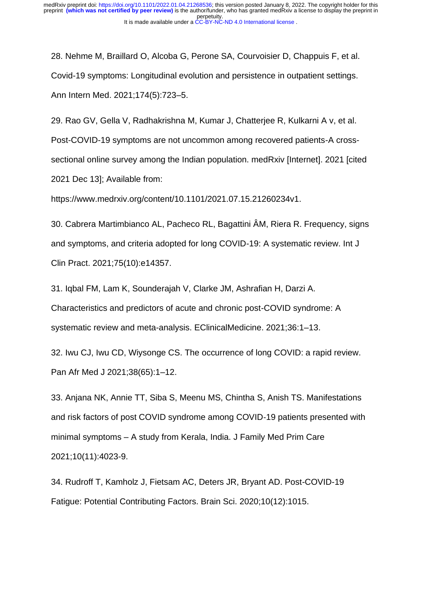28. Nehme M, Braillard O, Alcoba G, Perone SA, Courvoisier D, Chappuis F, et al. Covid-19 symptoms: Longitudinal evolution and persistence in outpatient settings. Ann Intern Med. 2021;174(5):723–5.

29. Rao GV, Gella V, Radhakrishna M, Kumar J, Chatterjee R, Kulkarni A v, et al. Post-COVID-19 symptoms are not uncommon among recovered patients-A crosssectional online survey among the Indian population. medRxiv [Internet]. 2021 [cited 2021 Dec 13]; Available from:

https://www.medrxiv.org/content/10.1101/2021.07.15.21260234v1.

30. Cabrera Martimbianco AL, Pacheco RL, Bagattini ÂM, Riera R. Frequency, signs and symptoms, and criteria adopted for long COVID-19: A systematic review. Int J Clin Pract. 2021;75(10):e14357.

31. Iqbal FM, Lam K, Sounderajah V, Clarke JM, Ashrafian H, Darzi A. Characteristics and predictors of acute and chronic post-COVID syndrome: A systematic review and meta-analysis. EClinicalMedicine. 2021;36:1–13.

32. Iwu CJ, Iwu CD, Wiysonge CS. The occurrence of long COVID: a rapid review. Pan Afr Med J 2021;38(65):1–12.

33. Anjana NK, Annie TT, Siba S, Meenu MS, Chintha S, Anish TS. Manifestations and risk factors of post COVID syndrome among COVID‑19 patients presented with minimal symptoms – A study from Kerala, India. J Family Med Prim Care 2021;10(11):4023-9.

34. Rudroff T, Kamholz J, Fietsam AC, Deters JR, Bryant AD. Post-COVID-19 Fatigue: Potential Contributing Factors. Brain Sci. 2020;10(12):1015.